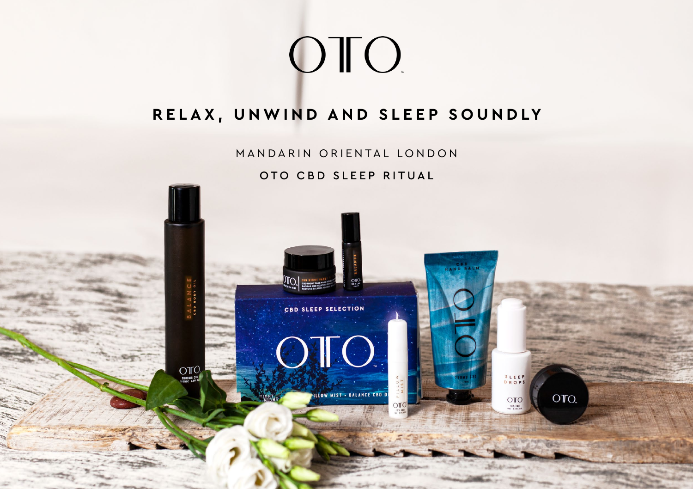# OTO.

# **RELAX, UNWIND AND SLEEP SOUNDLY**

MANDARIN ORIENTAL LONDON

OTO CBD SLEEP RITUAL



ILLOW MIST . BALANCE CBD O

SLEEP<br>DROPS

 $OTO$ 

OTO.

 $\overline{\text{O}}\text{IO}$ 

OTC